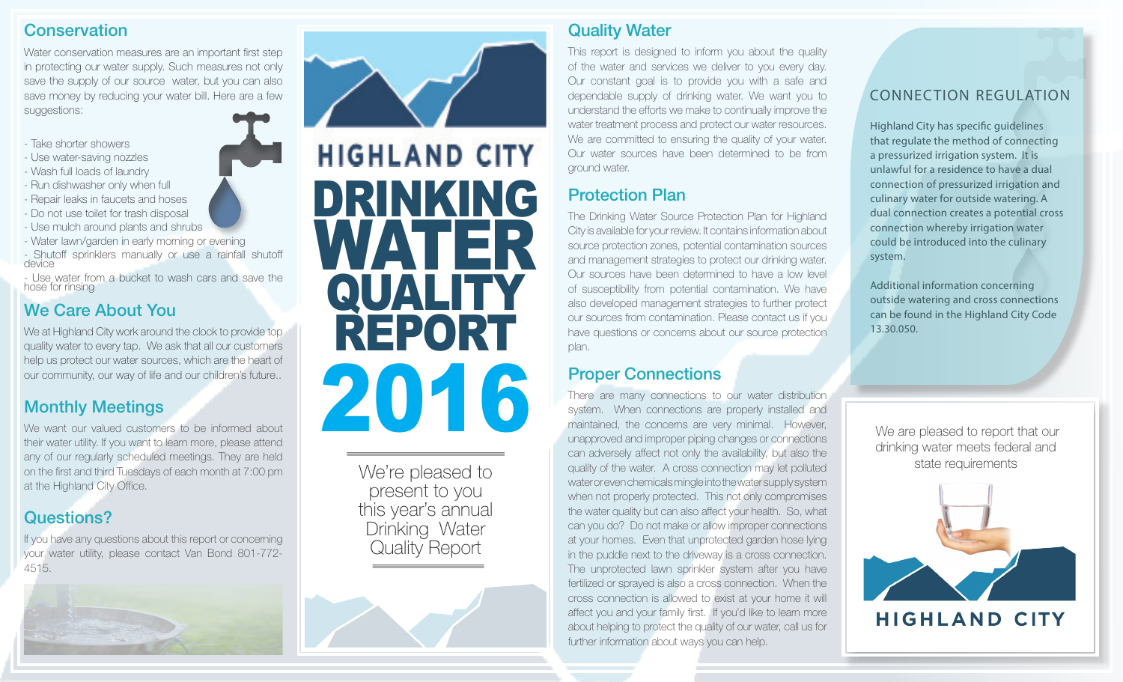#### **Conservation**

Water conservation measures are an important first step in protecting our water supply. Such measures not only save the supply of our source water, but you can also save money by reducing your water bill. Here are a few suggestions:

- Take shorter showers
- Use water-saving nozzles
- Wash full loads of laundry
- Run dishwasher only when full
- Repair leaks in faucets and hoses
- Do not use toilet for trash disposal
- Use mulch around plants and shrubs
- Water lawn/garden in early morning or evening

- Shutoff sprinklers manually or use a rainfall shutoff device

- Use water from a bucket to wash cars and save the hose for rinsing

## We Care About You

We at Highland City work around the clock to provide top quality water to every tap. We ask that all our customers help us protect our water sources, which are the heart of our community, our way of life and our children's future..

#### Monthly Meetings

We want our valued customers to be informed about their water utility. If you want to learn more, please attend any of our regularly scheduled meetings. They are held on the first and third Tuesdays of each month at 7:00 pm at the Highland City Office.

### Questions?

If you have any questions about this report or concerning your water utility, please contact Van Bond 801-772- 4515.





We're pleased to<br>present to you this year's annual Drinking Water Quality Report

### Quality Water

This report is designed to inform you about the quality of the water and services we deliver to you every day. Our constant goal is to provide you with a safe and dependable supply of drinking water. We want you to understand the efforts we make to continually improve the water treatment process and protect our water resources. We are committed to ensuring the quality of your water. Our water sources have been determined to be from ground water.

# Protection Plan

The Drinking Water Source Protection Plan for Highland City is available for your review. It contains information about source protection zones, potential contamination sources and management strategies to protect our drinking water. Our sources have been determined to have a low level of susceptibility from potential contamination. We have also developed management strategies to further protect our sources from contamination. Please contact us if you have questions or concerns about our source protection plan.

### Proper Connections

There are many connections to our water distribution system. When connections are properly installed and maintained, the concerns are very minimal. However, unapproved and improper piping changes or connections can adversely affect not only the availability, but also the We're pleased to quality of the water. A cross connection may let polluted state requirements water or even chemicals mingle into the water supply system when not properly protected. This not only compromises the water quality but can also affect your health. So, what can you do? Do not make or allow improper connections at your homes. Even that unprotected garden hose lying in the puddle next to the driveway is a cross connection. The unprotected lawn sprinkler system after you have fertilized or sprayed is also a cross connection. When the cross connection is allowed to exist at your home it will affect you and your family first. If you'd like to learn more about helping to protect the quality of our water, call us for further information about ways you can help.

#### CONNECTION REGULATION

Highland City has specific guidelines that regulate the method of connecting a pressurized irrigation system. It is unlawful for a residence to have a dual connection of pressurized irrigation and culinary water for outside watering. A dual connection creates a potential cross connection whereby irrigation water could be introduced into the culinary system.

Additional information concerning outside watering and cross connections can be found in the Highland City Code 13.30.050.

 We are pleased to report that our drinking water meets federal and